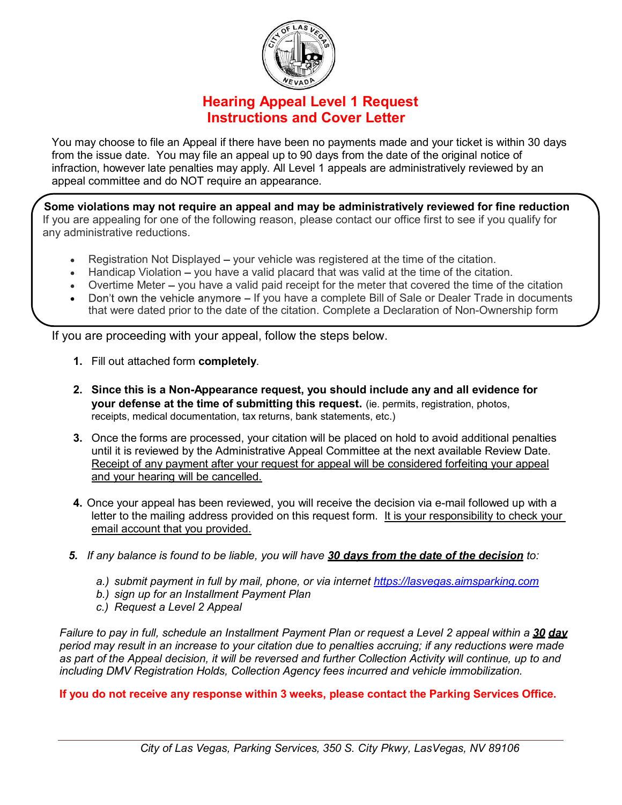

## Hearing Appeal Level 1 Request Instructions and Cover Letter

You may choose to file an Appeal if there have been no payments made and your ticket is within 30 days from the issue date. You may file an appeal up to 90 days from the date of the original notice of infraction, however late penalties may apply. All Level 1 appeals are administratively reviewed by an appeal committee and do NOT require an appearance.

Some violations may not require an appeal and may be administratively reviewed for fine reduction If you are appealing for one of the following reason, please contact our office first to see if you qualify for any administrative reductions.

- Registration Not Displayed your vehicle was registered at the time of the citation.
- Handicap Violation you have a valid placard that was valid at the time of the citation.
- Overtime Meter you have a valid paid receipt for the meter that covered the time of the citation
- Don't own the vehicle anymore If you have a complete Bill of Sale or Dealer Trade in documents that were dated prior to the date of the citation. Complete a Declaration of Non-Ownership form

If you are proceeding with your appeal, follow the steps below.

- 1. Fill out attached form completely.
- 2. Since this is a Non-Appearance request, you should include any and all evidence for your defense at the time of submitting this request. (ie. permits, registration, photos, receipts, medical documentation, tax returns, bank statements, etc.)
- 3. Once the forms are processed, your citation will be placed on hold to avoid additional penalties until it is reviewed by the Administrative Appeal Committee at the next available Review Date. Receipt of any payment after your request for appeal will be considered forfeiting your appeal and your hearing will be cancelled.
- 4. Once your appeal has been reviewed, you will receive the decision via e-mail followed up with a letter to the mailing address provided on this request form. It is your responsibility to check your email account that you provided.
- 5. If any balance is found to be liable, you will have 30 days from the date of the decision to:
	- a.) submit payment in full by mail, phone, or via internet https://lasvegas.aimsparking.com
	- b.) sign up for an Installment Payment Plan
	- c.) Request a Level 2 Appeal

Failure to pay in full, schedule an Installment Payment Plan or request a Level 2 appeal within a 30 day period may result in an increase to your citation due to penalties accruing; if any reductions were made as part of the Appeal decision, it will be reversed and further Collection Activity will continue, up to and including DMV Registration Holds, Collection Agency fees incurred and vehicle immobilization.

If you do not receive any response within 3 weeks, please contact the Parking Services Office.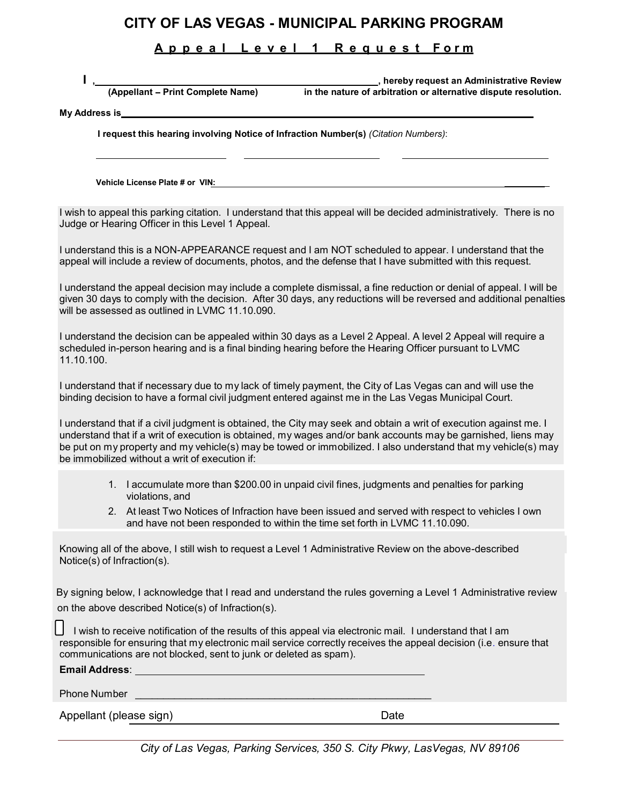## CITY OF LAS VEGAS - MUNICIPAL PARKING PROGRAM<br>
A p p e a l L e v e l 1 R e q u e s t F o r m<br>
short print Complete Name)<br>
and the poture of existential conductive direction description of the poturism or electronic directi

## A p p e a l L e v e l 1 R e q u e s t F o r m

I , hereby request an Administrative Review ,<br>. Appellant – Print Complete Name) in the nature of arbitration or alternative dispute resolution (Appellant – in the nature of arbitration or alternative dispute resolution.

My Address is\_

I request this hearing involving Notice of Infraction Number(s) (Citation Numbers):

Vehicle License Plate # or VIN: \_

I wish to appeal this parking citation. I understand that this appeal will be decided administratively. There is no Judge or Hearing Officer in this Level 1 Appeal.

I understand this is a NON-APPEARANCE request and I am NOT scheduled to appear. I understand that the appeal will include a review of documents, photos, and the defense that I have submitted with this request.

I understand the appeal decision may include a complete dismissal, a fine reduction or denial of appeal. I will be given 30 days to comply with the decision. After 30 days, any reductions will be reversed and additional penalties will be assessed as outlined in LVMC 11.10.090.

I understand the decision can be appealed within 30 days as a Level 2 Appeal. A level 2 Appeal will require a scheduled in-person hearing and is a final binding hearing before the Hearing Officer pursuant to LVMC 11.10.100.

I understand that if necessary due to my lack of timely payment, the City of Las Vegas can and will use the binding decision to have a formal civil judgment entered against me in the Las Vegas Municipal Court.

I understand that if a civil judgment is obtained, the City may seek and obtain a writ of execution against me. I understand that if a writ of execution is obtained, my wages and/or bank accounts may be garnished, liens may be put on my property and my vehicle(s) may be towed or immobilized. I also understand that my vehicle(s) may be immobilized without a writ of execution if:

- 1. I accumulate more than \$200.00 in unpaid civil fines, judgments and penalties for parking violations, and
- 2. At least Two Notices of Infraction have been issued and served with respect to vehicles I own and have not been responded to within the time set forth in LVMC 11.10.090.

Knowing all of the above, I still wish to request a Level 1 Administrative Review on the above-described Notice(s)

By signing below, I acknowledge that I read and understand the rules governing a Level 1 Administrative review on the above described Notice(s) of Infraction(s).

I wish to receive notification of the results of this appeal via electronic mail. I understand that I am responsible for ensuring that my electronic mail service correctly receives the appeal decision (i.e. ensure that communications are not blocked, sent to junk or deleted as spam).

| <b>Email Address:</b>   |      |  |
|-------------------------|------|--|
| <b>Phone Number</b>     |      |  |
| Appellant (please sign) | Date |  |

City of Las Vegas, Parking Services, 350 S. City Pkwy, LasVegas, NV 89106